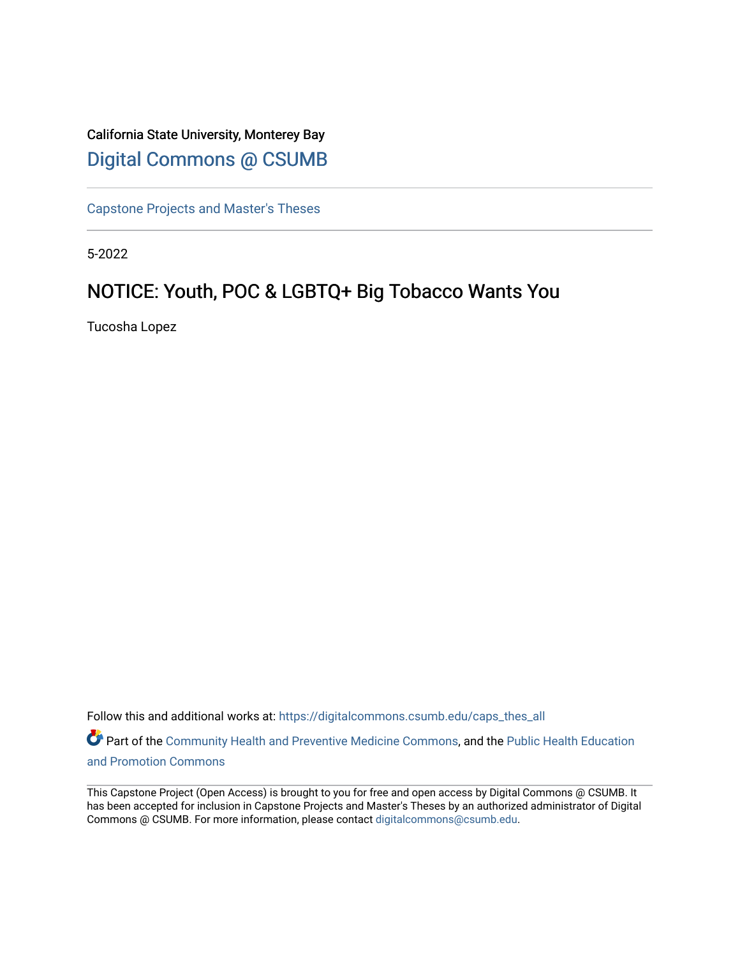# California State University, Monterey Bay [Digital Commons @ CSUMB](https://digitalcommons.csumb.edu/)

[Capstone Projects and Master's Theses](https://digitalcommons.csumb.edu/caps_thes_all)

5-2022

# NOTICE: Youth, POC & LGBTQ+ Big Tobacco Wants You

Tucosha Lopez

Follow this and additional works at: [https://digitalcommons.csumb.edu/caps\\_thes\\_all](https://digitalcommons.csumb.edu/caps_thes_all?utm_source=digitalcommons.csumb.edu%2Fcaps_thes_all%2F1286&utm_medium=PDF&utm_campaign=PDFCoverPages)

Part of the [Community Health and Preventive Medicine Commons](https://network.bepress.com/hgg/discipline/744?utm_source=digitalcommons.csumb.edu%2Fcaps_thes_all%2F1286&utm_medium=PDF&utm_campaign=PDFCoverPages), and the [Public Health Education](https://network.bepress.com/hgg/discipline/743?utm_source=digitalcommons.csumb.edu%2Fcaps_thes_all%2F1286&utm_medium=PDF&utm_campaign=PDFCoverPages) [and Promotion Commons](https://network.bepress.com/hgg/discipline/743?utm_source=digitalcommons.csumb.edu%2Fcaps_thes_all%2F1286&utm_medium=PDF&utm_campaign=PDFCoverPages)

This Capstone Project (Open Access) is brought to you for free and open access by Digital Commons @ CSUMB. It has been accepted for inclusion in Capstone Projects and Master's Theses by an authorized administrator of Digital Commons @ CSUMB. For more information, please contact [digitalcommons@csumb.edu](mailto:digitalcommons@csumb.edu).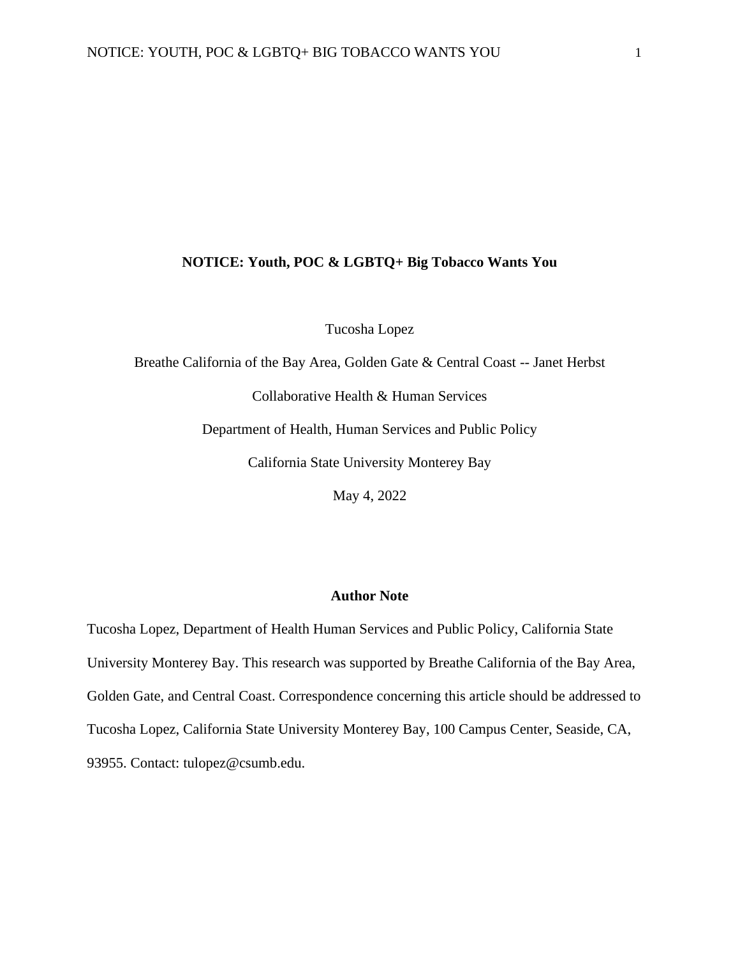## **NOTICE: Youth, POC & LGBTQ+ Big Tobacco Wants You**

Tucosha Lopez

Breathe California of the Bay Area, Golden Gate & Central Coast -- Janet Herbst Collaborative Health & Human Services Department of Health, Human Services and Public Policy California State University Monterey Bay May 4, 2022

# **Author Note**

Tucosha Lopez, Department of Health Human Services and Public Policy, California State University Monterey Bay. This research was supported by Breathe California of the Bay Area, Golden Gate, and Central Coast. Correspondence concerning this article should be addressed to Tucosha Lopez, California State University Monterey Bay, 100 Campus Center, Seaside, CA, 93955. Contact: tulopez@csumb.edu.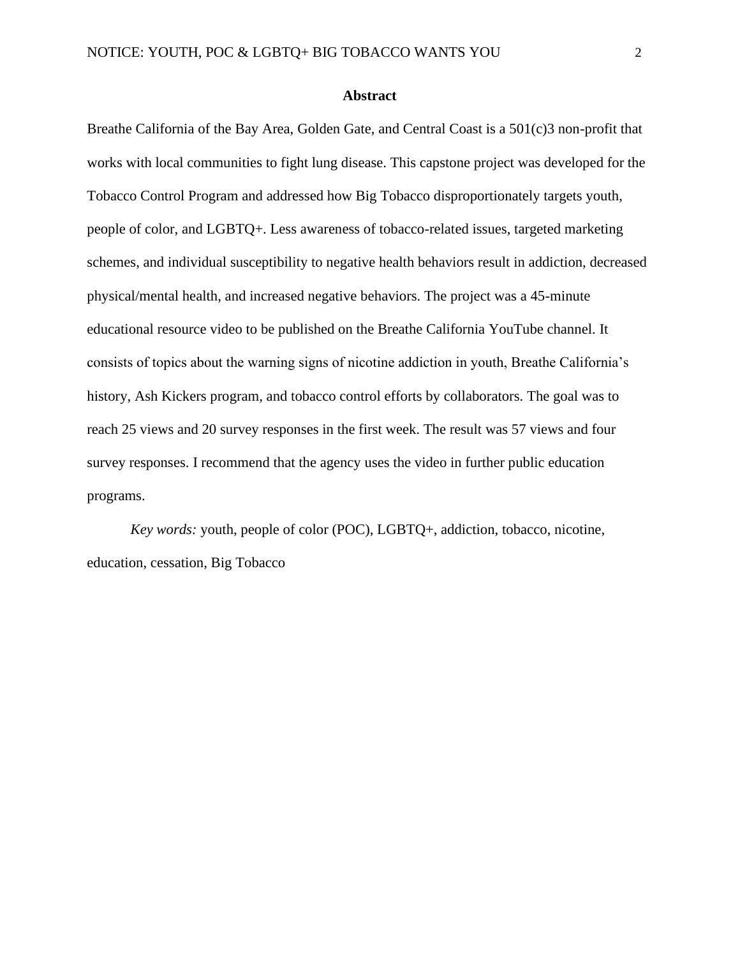## **Abstract**

Breathe California of the Bay Area, Golden Gate, and Central Coast is a 501(c)3 non-profit that works with local communities to fight lung disease. This capstone project was developed for the Tobacco Control Program and addressed how Big Tobacco disproportionately targets youth, people of color, and LGBTQ+. Less awareness of tobacco-related issues, targeted marketing schemes, and individual susceptibility to negative health behaviors result in addiction, decreased physical/mental health, and increased negative behaviors. The project was a 45-minute educational resource video to be published on the Breathe California YouTube channel. It consists of topics about the warning signs of nicotine addiction in youth, Breathe California's history, Ash Kickers program, and tobacco control efforts by collaborators. The goal was to reach 25 views and 20 survey responses in the first week. The result was 57 views and four survey responses. I recommend that the agency uses the video in further public education programs.

*Key words:* youth, people of color (POC), LGBTQ+, addiction, tobacco, nicotine, education, cessation, Big Tobacco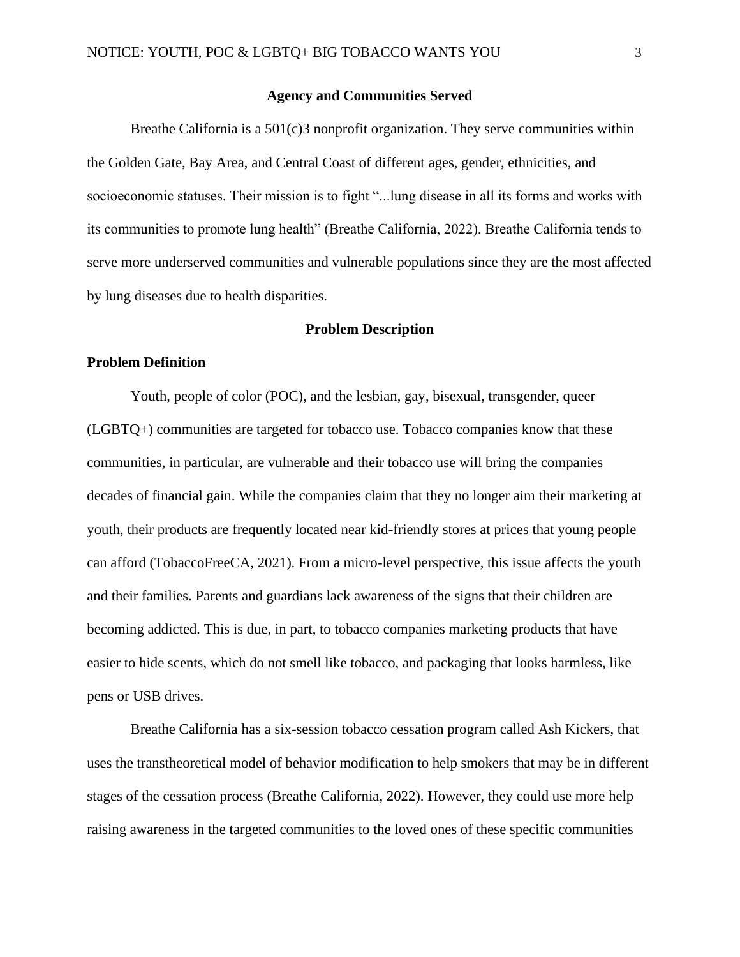## **Agency and Communities Served**

Breathe California is a 501(c)3 nonprofit organization. They serve communities within the Golden Gate, Bay Area, and Central Coast of different ages, gender, ethnicities, and socioeconomic statuses. Their mission is to fight "...lung disease in all its forms and works with its communities to promote lung health" (Breathe California, 2022). Breathe California tends to serve more underserved communities and vulnerable populations since they are the most affected by lung diseases due to health disparities.

#### **Problem Description**

#### **Problem Definition**

Youth, people of color (POC), and the lesbian, gay, bisexual, transgender, queer (LGBTQ+) communities are targeted for tobacco use. Tobacco companies know that these communities, in particular, are vulnerable and their tobacco use will bring the companies decades of financial gain. While the companies claim that they no longer aim their marketing at youth, their products are frequently located near kid-friendly stores at prices that young people can afford (TobaccoFreeCA, 2021). From a micro-level perspective, this issue affects the youth and their families. Parents and guardians lack awareness of the signs that their children are becoming addicted. This is due, in part, to tobacco companies marketing products that have easier to hide scents, which do not smell like tobacco, and packaging that looks harmless, like pens or USB drives.

Breathe California has a six-session tobacco cessation program called Ash Kickers, that uses the transtheoretical model of behavior modification to help smokers that may be in different stages of the cessation process (Breathe California, 2022). However, they could use more help raising awareness in the targeted communities to the loved ones of these specific communities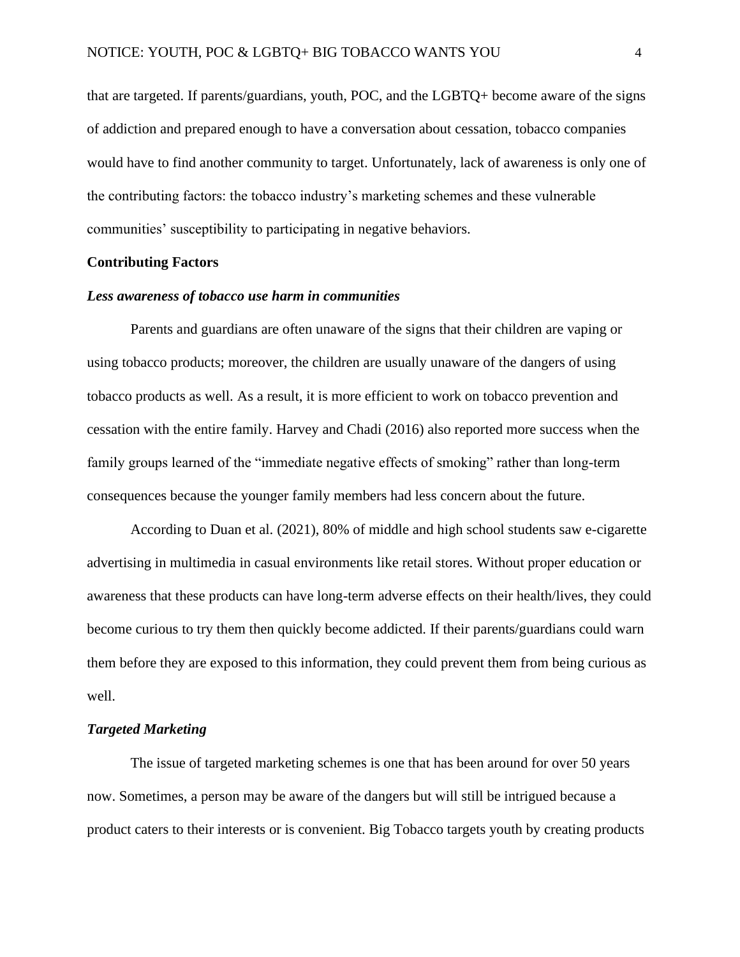that are targeted. If parents/guardians, youth, POC, and the LGBTQ+ become aware of the signs of addiction and prepared enough to have a conversation about cessation, tobacco companies would have to find another community to target. Unfortunately, lack of awareness is only one of the contributing factors: the tobacco industry's marketing schemes and these vulnerable communities' susceptibility to participating in negative behaviors.

# **Contributing Factors**

#### *Less awareness of tobacco use harm in communities*

Parents and guardians are often unaware of the signs that their children are vaping or using tobacco products; moreover, the children are usually unaware of the dangers of using tobacco products as well. As a result, it is more efficient to work on tobacco prevention and cessation with the entire family. Harvey and Chadi (2016) also reported more success when the family groups learned of the "immediate negative effects of smoking" rather than long-term consequences because the younger family members had less concern about the future.

According to Duan et al. (2021), 80% of middle and high school students saw e-cigarette advertising in multimedia in casual environments like retail stores. Without proper education or awareness that these products can have long-term adverse effects on their health/lives, they could become curious to try them then quickly become addicted. If their parents/guardians could warn them before they are exposed to this information, they could prevent them from being curious as well.

#### *Targeted Marketing*

The issue of targeted marketing schemes is one that has been around for over 50 years now. Sometimes, a person may be aware of the dangers but will still be intrigued because a product caters to their interests or is convenient. Big Tobacco targets youth by creating products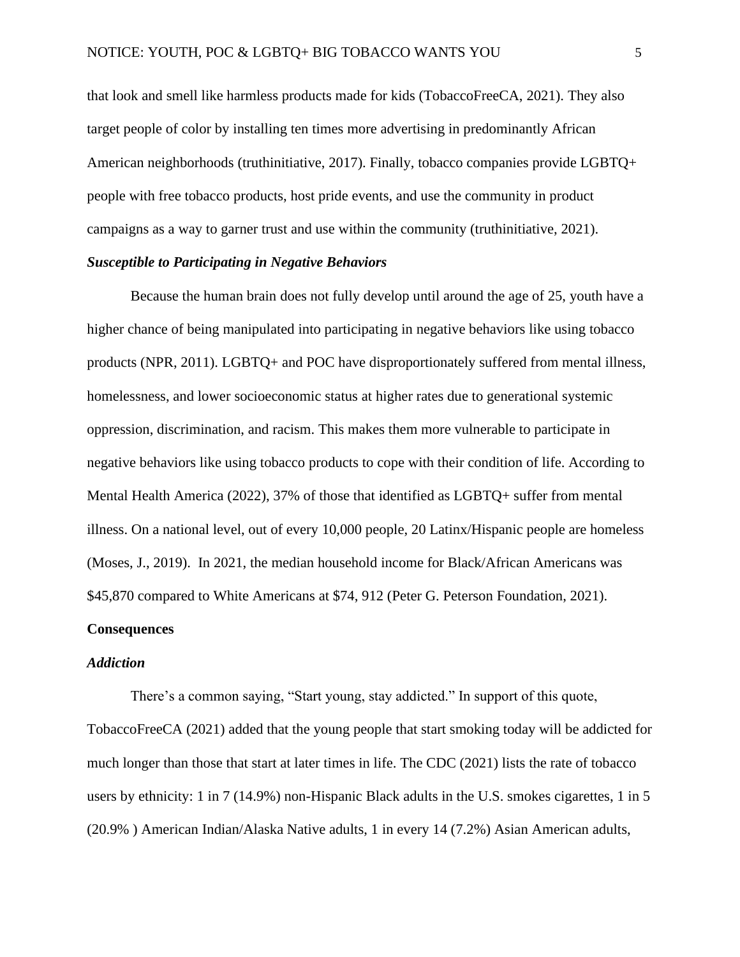that look and smell like harmless products made for kids (TobaccoFreeCA, 2021). They also target people of color by installing ten times more advertising in predominantly African American neighborhoods (truthinitiative, 2017). Finally, tobacco companies provide LGBTQ+ people with free tobacco products, host pride events, and use the community in product campaigns as a way to garner trust and use within the community (truthinitiative, 2021).

## *Susceptible to Participating in Negative Behaviors*

Because the human brain does not fully develop until around the age of 25, youth have a higher chance of being manipulated into participating in negative behaviors like using tobacco products (NPR, 2011). LGBTQ+ and POC have disproportionately suffered from mental illness, homelessness, and lower socioeconomic status at higher rates due to generational systemic oppression, discrimination, and racism. This makes them more vulnerable to participate in negative behaviors like using tobacco products to cope with their condition of life. According to Mental Health America (2022), 37% of those that identified as LGBTQ+ suffer from mental illness. On a national level, out of every 10,000 people, 20 Latinx/Hispanic people are homeless (Moses, J., 2019). In 2021, the median household income for Black/African Americans was \$45,870 compared to White Americans at \$74, 912 (Peter G. Peterson Foundation, 2021).

# **Consequences**

# *Addiction*

There's a common saying, "Start young, stay addicted." In support of this quote, TobaccoFreeCA (2021) added that the young people that start smoking today will be addicted for much longer than those that start at later times in life. The CDC (2021) lists the rate of tobacco users by ethnicity: 1 in 7 (14.9%) non-Hispanic Black adults in the U.S. smokes cigarettes, 1 in 5 (20.9% ) American Indian/Alaska Native adults, 1 in every 14 (7.2%) Asian American adults,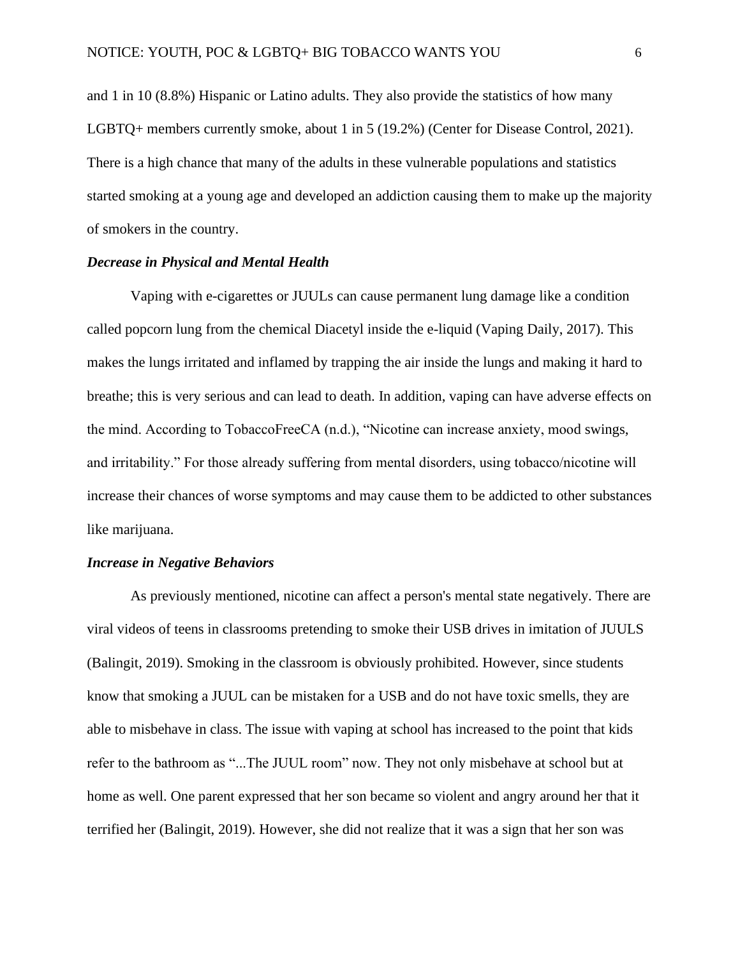and 1 in 10 (8.8%) Hispanic or Latino adults. They also provide the statistics of how many LGBTQ+ members currently smoke, about 1 in 5 (19.2%) (Center for Disease Control, 2021). There is a high chance that many of the adults in these vulnerable populations and statistics started smoking at a young age and developed an addiction causing them to make up the majority of smokers in the country.

## *Decrease in Physical and Mental Health*

Vaping with e-cigarettes or JUULs can cause permanent lung damage like a condition called popcorn lung from the chemical Diacetyl inside the e-liquid (Vaping Daily, 2017). This makes the lungs irritated and inflamed by trapping the air inside the lungs and making it hard to breathe; this is very serious and can lead to death. In addition, vaping can have adverse effects on the mind. According to TobaccoFreeCA (n.d.), "Nicotine can increase anxiety, mood swings, and irritability." For those already suffering from mental disorders, using tobacco/nicotine will increase their chances of worse symptoms and may cause them to be addicted to other substances like marijuana.

# *Increase in Negative Behaviors*

As previously mentioned, nicotine can affect a person's mental state negatively. There are viral videos of teens in classrooms pretending to smoke their USB drives in imitation of JUULS (Balingit, 2019). Smoking in the classroom is obviously prohibited. However, since students know that smoking a JUUL can be mistaken for a USB and do not have toxic smells, they are able to misbehave in class. The issue with vaping at school has increased to the point that kids refer to the bathroom as "...The JUUL room" now. They not only misbehave at school but at home as well. One parent expressed that her son became so violent and angry around her that it terrified her (Balingit, 2019). However, she did not realize that it was a sign that her son was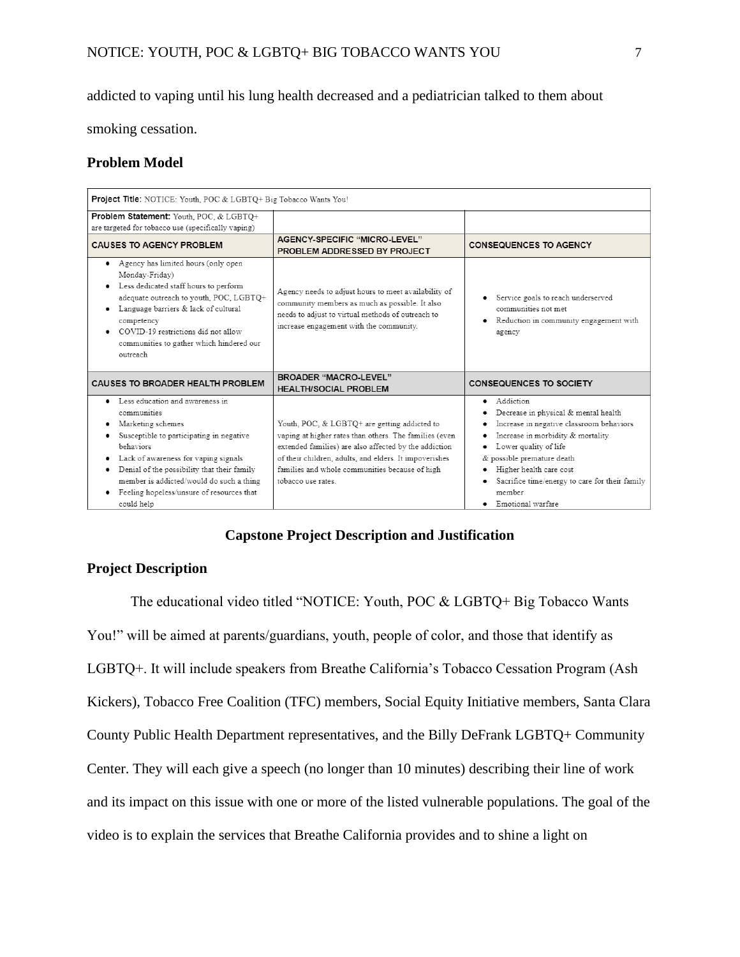# addicted to vaping until his lung health decreased and a pediatrician talked to them about

smoking cessation.

# **Problem Model**

| Project Title: NOTICE: Youth, POC & LGBTQ+ Big Tobacco Wants You!                                                                                                                                                                                                                                                               |                                                                                                                                                                                                                                                                                                  |                                                                                                                                                                                                                                                                                                                 |  |  |  |  |  |
|---------------------------------------------------------------------------------------------------------------------------------------------------------------------------------------------------------------------------------------------------------------------------------------------------------------------------------|--------------------------------------------------------------------------------------------------------------------------------------------------------------------------------------------------------------------------------------------------------------------------------------------------|-----------------------------------------------------------------------------------------------------------------------------------------------------------------------------------------------------------------------------------------------------------------------------------------------------------------|--|--|--|--|--|
| Problem Statement: Youth, POC, & LGBTO+                                                                                                                                                                                                                                                                                         |                                                                                                                                                                                                                                                                                                  |                                                                                                                                                                                                                                                                                                                 |  |  |  |  |  |
| are targeted for tobacco use (specifically vaping)                                                                                                                                                                                                                                                                              |                                                                                                                                                                                                                                                                                                  |                                                                                                                                                                                                                                                                                                                 |  |  |  |  |  |
| <b>CAUSES TO AGENCY PROBLEM</b>                                                                                                                                                                                                                                                                                                 | AGENCY-SPECIFIC "MICRO-LEVEL"<br>PROBLEM ADDRESSED BY PROJECT                                                                                                                                                                                                                                    | <b>CONSEQUENCES TO AGENCY</b>                                                                                                                                                                                                                                                                                   |  |  |  |  |  |
| Agency has limited hours (only open<br>Monday-Friday)<br>Less dedicated staff hours to perform<br>adequate outreach to youth, POC, LGBTQ+<br>Language barriers & lack of cultural<br>competency<br>COVID-19 restrictions did not allow<br>communities to gather which hindered our<br>outreach                                  | Agency needs to adjust hours to meet availability of<br>community members as much as possible. It also<br>needs to adjust to virtual methods of outreach to<br>increase engagement with the community.                                                                                           | Service goals to reach underserved<br>communities not met.<br>Reduction in community engagement with<br>٠<br>agency                                                                                                                                                                                             |  |  |  |  |  |
| CAUSES TO BROADER HEALTH PROBLEM                                                                                                                                                                                                                                                                                                | <b>BROADER "MACRO-LEVEL"</b><br><b>HEALTH/SOCIAL PROBLEM</b>                                                                                                                                                                                                                                     | <b>CONSEQUENCES TO SOCIETY</b>                                                                                                                                                                                                                                                                                  |  |  |  |  |  |
| Less education and awareness in<br>communities<br>Marketing schemes<br>Susceptible to participating in negative<br>hehaviors<br>Lack of awareness for vaping signals<br>٠<br>Denial of the possibility that their family<br>member is addicted/would do such a thing<br>Feeling hopeless/unsure of resources that<br>could help | Youth, POC, & LGBTQ+ are getting addicted to<br>vaping at higher rates than others. The families (even<br>extended families) are also affected by the addiction<br>of their children, adults, and elders. It impoverishes<br>families and whole communities because of high<br>tobacco use rates | Addiction<br>٠<br>Decrease in physical & mental health<br>Increase in negative classroom behaviors<br>Increase in morbidity & mortality<br>Lower quality of life<br>& possible premature death<br>Higher health care cost<br>Sacrifice time/energy to care for their family<br>٠<br>member<br>Emotional warfare |  |  |  |  |  |

# **Capstone Project Description and Justification**

# **Project Description**

The educational video titled "NOTICE: Youth, POC & LGBTQ+ Big Tobacco Wants You!" will be aimed at parents/guardians, youth, people of color, and those that identify as LGBTQ+. It will include speakers from Breathe California's Tobacco Cessation Program (Ash Kickers), Tobacco Free Coalition (TFC) members, Social Equity Initiative members, Santa Clara County Public Health Department representatives, and the Billy DeFrank LGBTQ+ Community Center. They will each give a speech (no longer than 10 minutes) describing their line of work and its impact on this issue with one or more of the listed vulnerable populations. The goal of the video is to explain the services that Breathe California provides and to shine a light on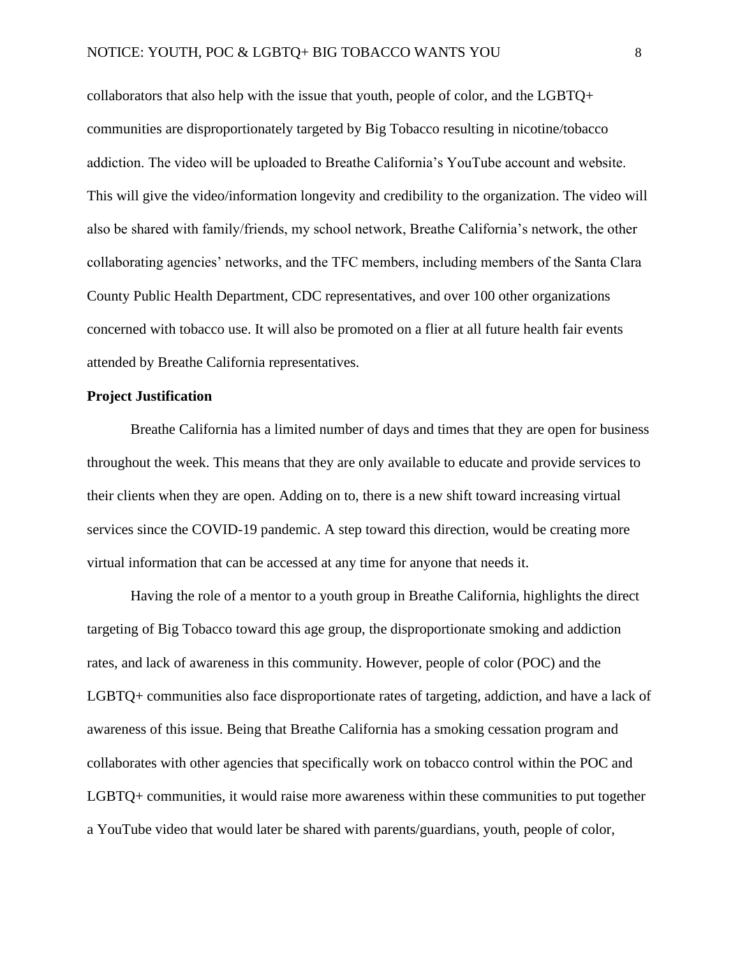collaborators that also help with the issue that youth, people of color, and the LGBTQ+ communities are disproportionately targeted by Big Tobacco resulting in nicotine/tobacco addiction. The video will be uploaded to Breathe California's YouTube account and website. This will give the video/information longevity and credibility to the organization. The video will also be shared with family/friends, my school network, Breathe California's network, the other collaborating agencies' networks, and the TFC members, including members of the Santa Clara County Public Health Department, CDC representatives, and over 100 other organizations concerned with tobacco use. It will also be promoted on a flier at all future health fair events attended by Breathe California representatives.

# **Project Justification**

Breathe California has a limited number of days and times that they are open for business throughout the week. This means that they are only available to educate and provide services to their clients when they are open. Adding on to, there is a new shift toward increasing virtual services since the COVID-19 pandemic. A step toward this direction, would be creating more virtual information that can be accessed at any time for anyone that needs it.

Having the role of a mentor to a youth group in Breathe California, highlights the direct targeting of Big Tobacco toward this age group, the disproportionate smoking and addiction rates, and lack of awareness in this community. However, people of color (POC) and the LGBTQ+ communities also face disproportionate rates of targeting, addiction, and have a lack of awareness of this issue. Being that Breathe California has a smoking cessation program and collaborates with other agencies that specifically work on tobacco control within the POC and LGBTQ+ communities, it would raise more awareness within these communities to put together a YouTube video that would later be shared with parents/guardians, youth, people of color,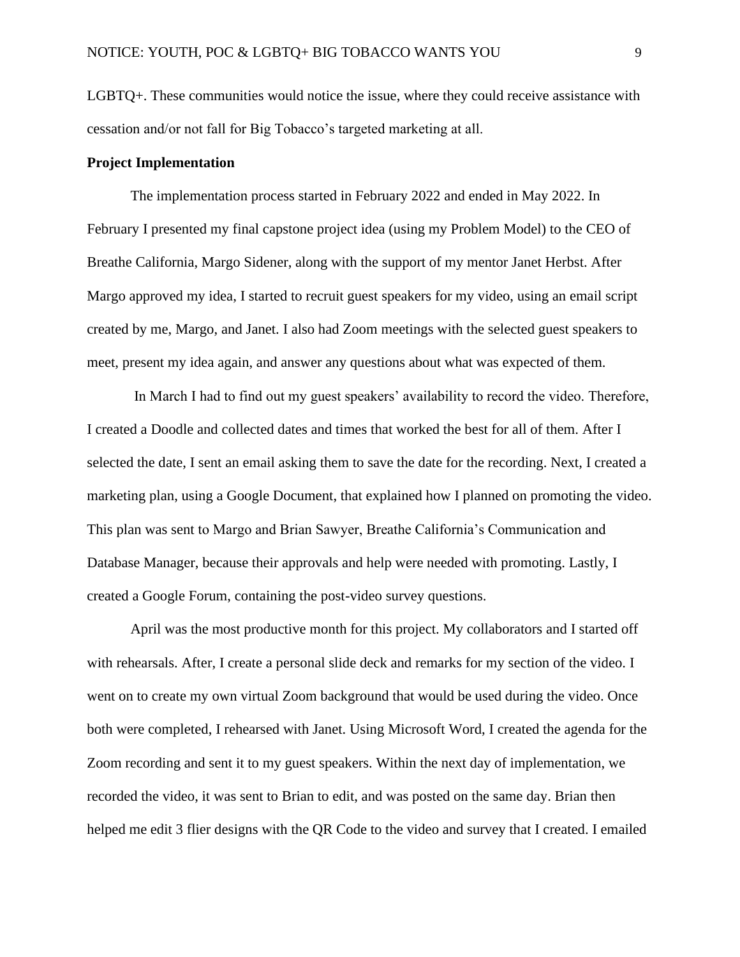LGBTQ+. These communities would notice the issue, where they could receive assistance with cessation and/or not fall for Big Tobacco's targeted marketing at all.

# **Project Implementation**

The implementation process started in February 2022 and ended in May 2022. In February I presented my final capstone project idea (using my Problem Model) to the CEO of Breathe California, Margo Sidener, along with the support of my mentor Janet Herbst. After Margo approved my idea, I started to recruit guest speakers for my video, using an email script created by me, Margo, and Janet. I also had Zoom meetings with the selected guest speakers to meet, present my idea again, and answer any questions about what was expected of them.

In March I had to find out my guest speakers' availability to record the video. Therefore, I created a Doodle and collected dates and times that worked the best for all of them. After I selected the date, I sent an email asking them to save the date for the recording. Next, I created a marketing plan, using a Google Document, that explained how I planned on promoting the video. This plan was sent to Margo and Brian Sawyer, Breathe California's Communication and Database Manager, because their approvals and help were needed with promoting. Lastly, I created a Google Forum, containing the post-video survey questions.

April was the most productive month for this project. My collaborators and I started off with rehearsals. After, I create a personal slide deck and remarks for my section of the video. I went on to create my own virtual Zoom background that would be used during the video. Once both were completed, I rehearsed with Janet. Using Microsoft Word, I created the agenda for the Zoom recording and sent it to my guest speakers. Within the next day of implementation, we recorded the video, it was sent to Brian to edit, and was posted on the same day. Brian then helped me edit 3 flier designs with the QR Code to the video and survey that I created. I emailed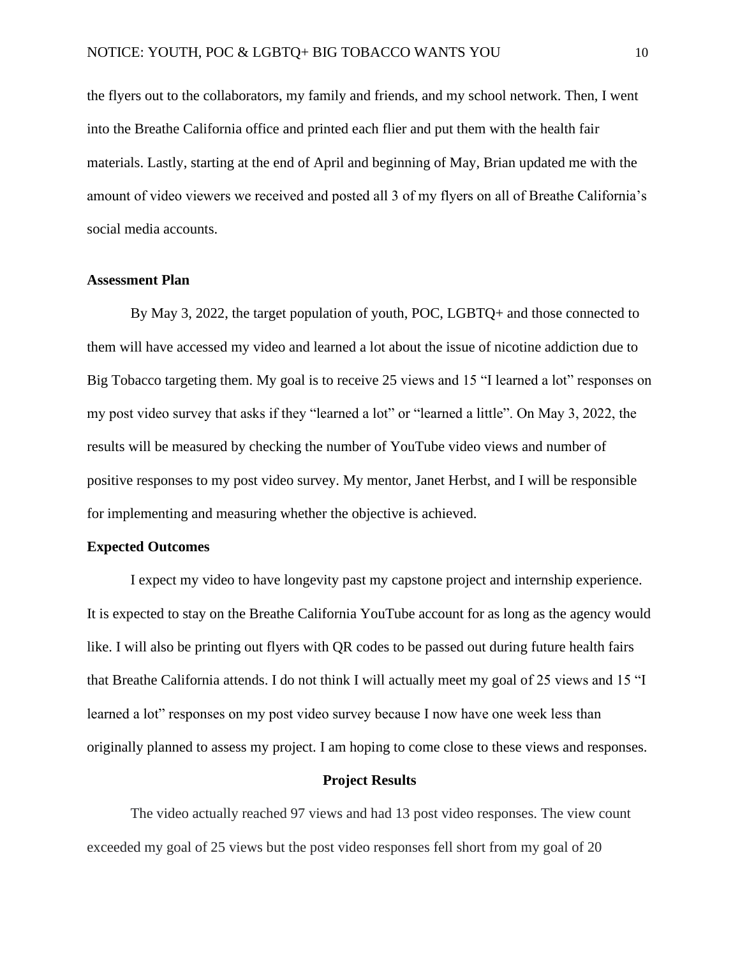the flyers out to the collaborators, my family and friends, and my school network. Then, I went into the Breathe California office and printed each flier and put them with the health fair materials. Lastly, starting at the end of April and beginning of May, Brian updated me with the amount of video viewers we received and posted all 3 of my flyers on all of Breathe California's social media accounts.

# **Assessment Plan**

By May 3, 2022, the target population of youth, POC, LGBTQ+ and those connected to them will have accessed my video and learned a lot about the issue of nicotine addiction due to Big Tobacco targeting them. My goal is to receive 25 views and 15 "I learned a lot" responses on my post video survey that asks if they "learned a lot" or "learned a little". On May 3, 2022, the results will be measured by checking the number of YouTube video views and number of positive responses to my post video survey. My mentor, Janet Herbst, and I will be responsible for implementing and measuring whether the objective is achieved.

# **Expected Outcomes**

I expect my video to have longevity past my capstone project and internship experience. It is expected to stay on the Breathe California YouTube account for as long as the agency would like. I will also be printing out flyers with QR codes to be passed out during future health fairs that Breathe California attends. I do not think I will actually meet my goal of 25 views and 15 "I learned a lot" responses on my post video survey because I now have one week less than originally planned to assess my project. I am hoping to come close to these views and responses.

# **Project Results**

The video actually reached 97 views and had 13 post video responses. The view count exceeded my goal of 25 views but the post video responses fell short from my goal of 20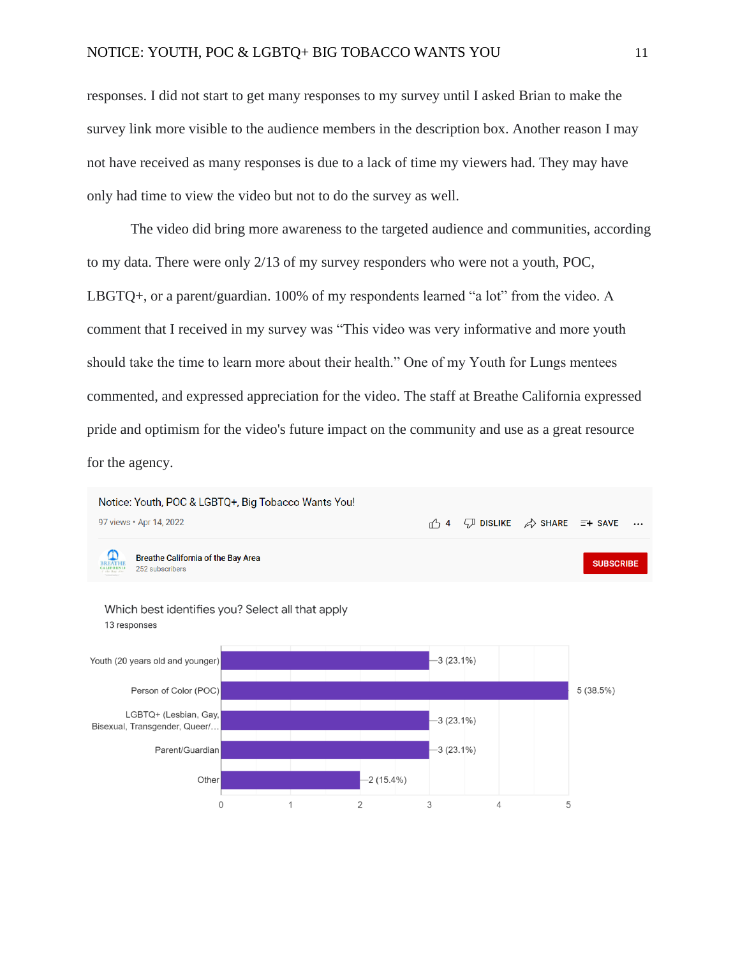responses. I did not start to get many responses to my survey until I asked Brian to make the survey link more visible to the audience members in the description box. Another reason I may not have received as many responses is due to a lack of time my viewers had. They may have only had time to view the video but not to do the survey as well.

The video did bring more awareness to the targeted audience and communities, according to my data. There were only 2/13 of my survey responders who were not a youth, POC, LBGTQ+, or a parent/guardian. 100% of my respondents learned "a lot" from the video. A comment that I received in my survey was "This video was very informative and more youth should take the time to learn more about their health." One of my Youth for Lungs mentees commented, and expressed appreciation for the video. The staff at Breathe California expressed pride and optimism for the video's future impact on the community and use as a great resource for the agency.

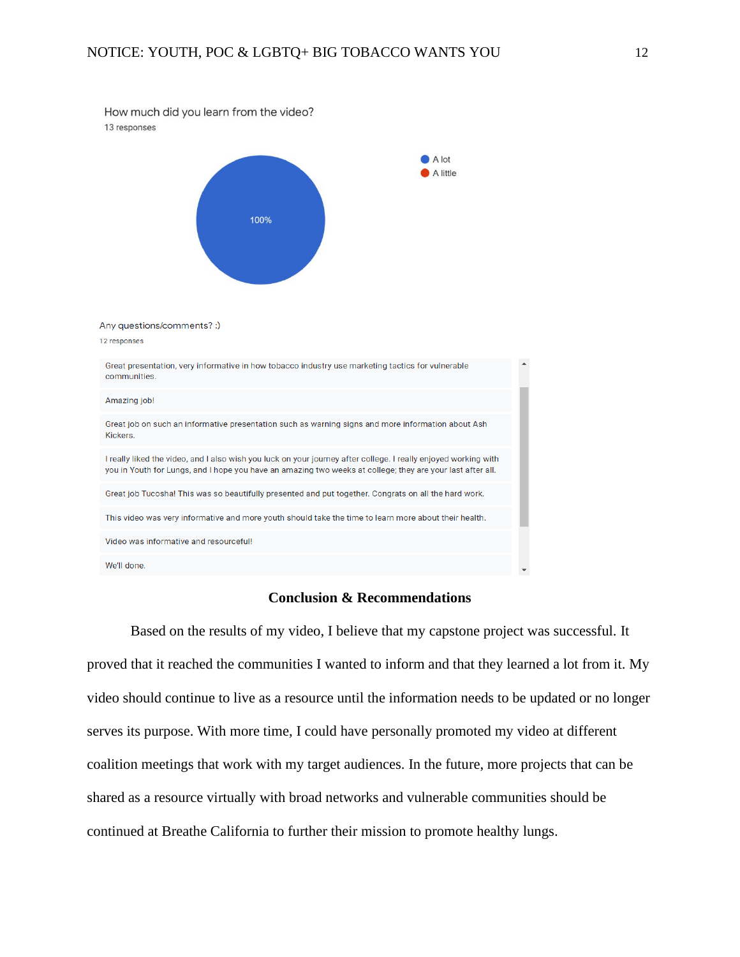| How much did you learn from the video?<br>13 responses                                                                                                                                                                        |  |
|-------------------------------------------------------------------------------------------------------------------------------------------------------------------------------------------------------------------------------|--|
| A lot<br>A little<br>100%                                                                                                                                                                                                     |  |
| Any questions/comments? :)<br>12 responses                                                                                                                                                                                    |  |
| Great presentation, very informative in how tobacco industry use marketing tactics for vulnerable<br>communities.                                                                                                             |  |
| Amazing job!                                                                                                                                                                                                                  |  |
| Great job on such an informative presentation such as warning signs and more information about Ash<br>Kickers.                                                                                                                |  |
| I really liked the video, and I also wish you luck on your journey after college. I really enjoyed working with<br>you in Youth for Lungs, and I hope you have an amazing two weeks at college; they are your last after all. |  |
| Great job Tucosha! This was so beautifully presented and put together. Congrats on all the hard work.                                                                                                                         |  |
| This video was very informative and more youth should take the time to learn more about their health.                                                                                                                         |  |
| Video was informative and resourceful!                                                                                                                                                                                        |  |
| We'll done.                                                                                                                                                                                                                   |  |

# **Conclusion & Recommendations**

Based on the results of my video, I believe that my capstone project was successful. It proved that it reached the communities I wanted to inform and that they learned a lot from it. My video should continue to live as a resource until the information needs to be updated or no longer serves its purpose. With more time, I could have personally promoted my video at different coalition meetings that work with my target audiences. In the future, more projects that can be shared as a resource virtually with broad networks and vulnerable communities should be continued at Breathe California to further their mission to promote healthy lungs.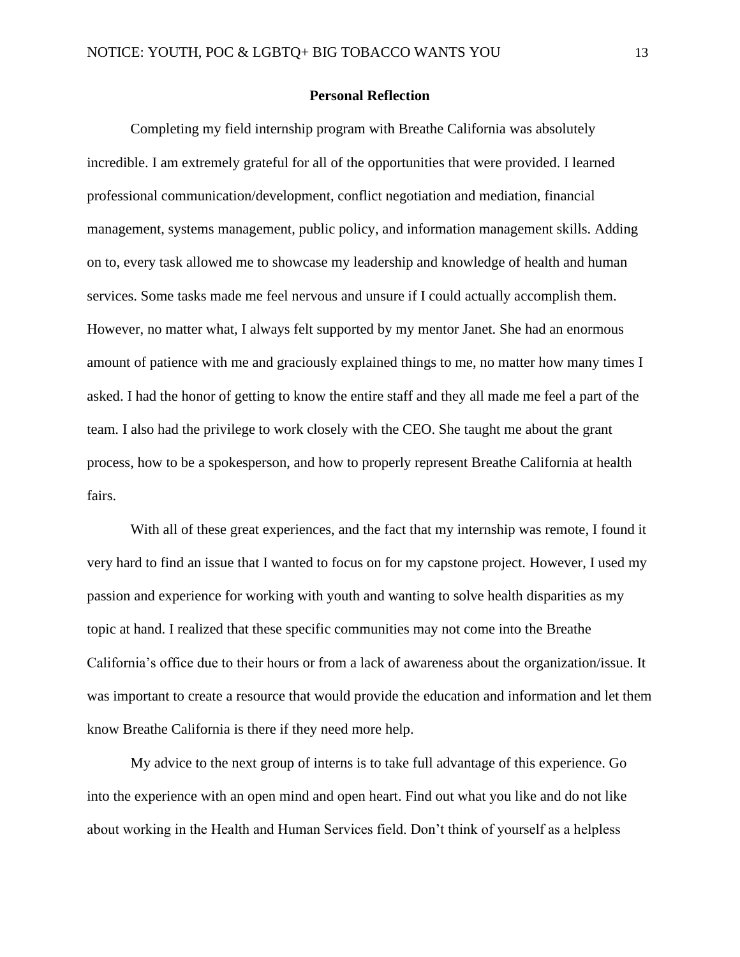## **Personal Reflection**

Completing my field internship program with Breathe California was absolutely incredible. I am extremely grateful for all of the opportunities that were provided. I learned professional communication/development, conflict negotiation and mediation, financial management, systems management, public policy, and information management skills. Adding on to, every task allowed me to showcase my leadership and knowledge of health and human services. Some tasks made me feel nervous and unsure if I could actually accomplish them. However, no matter what, I always felt supported by my mentor Janet. She had an enormous amount of patience with me and graciously explained things to me, no matter how many times I asked. I had the honor of getting to know the entire staff and they all made me feel a part of the team. I also had the privilege to work closely with the CEO. She taught me about the grant process, how to be a spokesperson, and how to properly represent Breathe California at health fairs.

With all of these great experiences, and the fact that my internship was remote, I found it very hard to find an issue that I wanted to focus on for my capstone project. However, I used my passion and experience for working with youth and wanting to solve health disparities as my topic at hand. I realized that these specific communities may not come into the Breathe California's office due to their hours or from a lack of awareness about the organization/issue. It was important to create a resource that would provide the education and information and let them know Breathe California is there if they need more help.

My advice to the next group of interns is to take full advantage of this experience. Go into the experience with an open mind and open heart. Find out what you like and do not like about working in the Health and Human Services field. Don't think of yourself as a helpless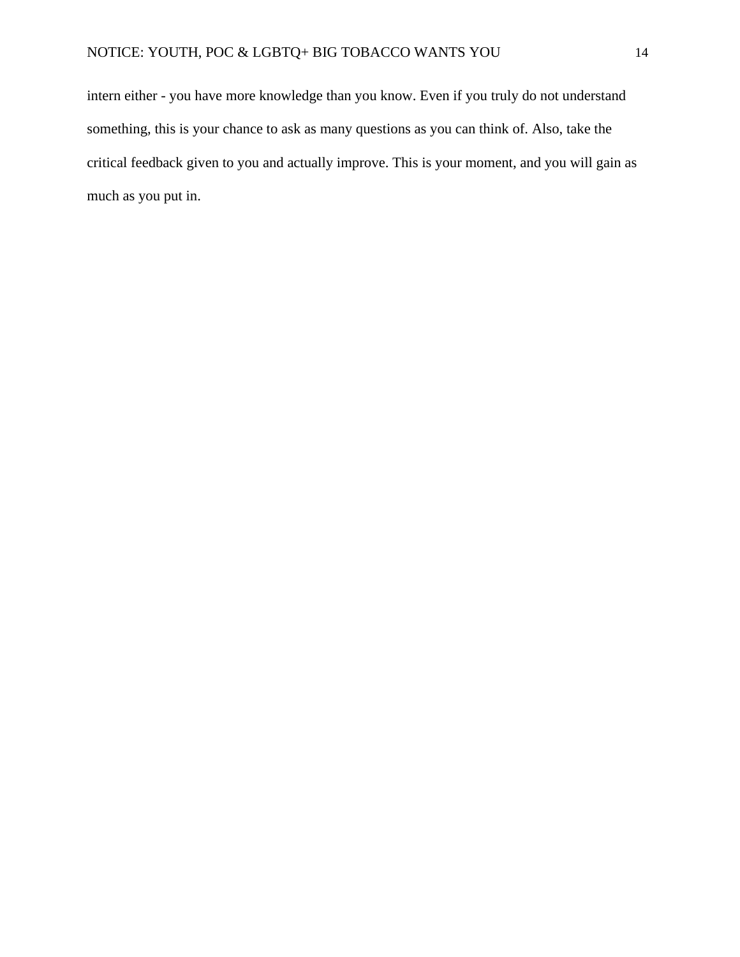intern either - you have more knowledge than you know. Even if you truly do not understand something, this is your chance to ask as many questions as you can think of. Also, take the critical feedback given to you and actually improve. This is your moment, and you will gain as much as you put in.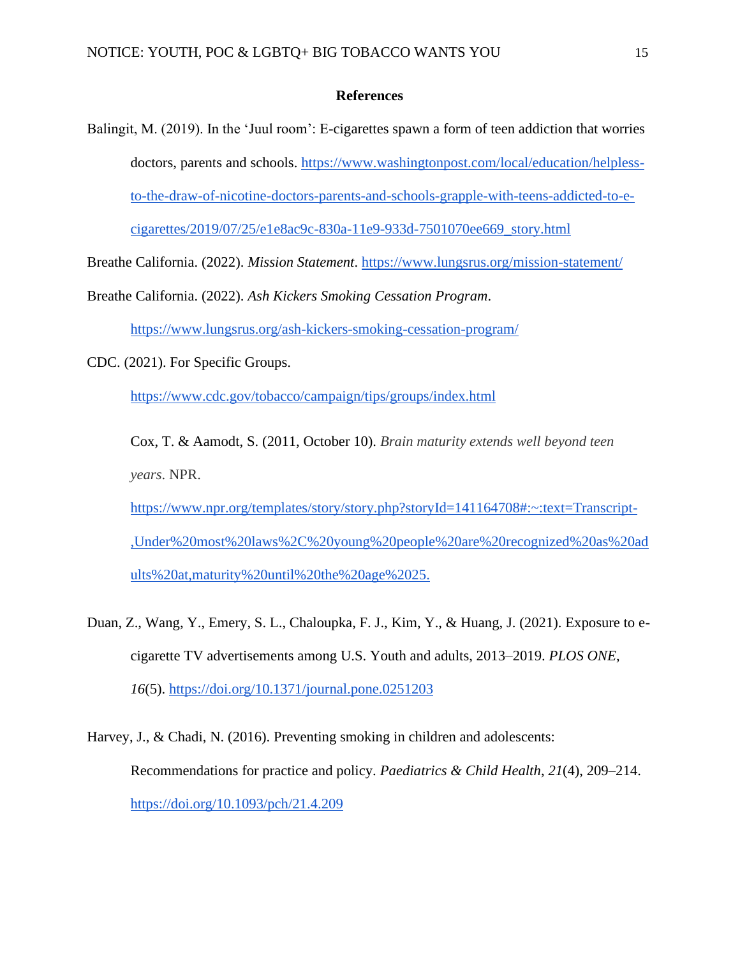## **References**

Balingit, M. (2019). In the 'Juul room': E-cigarettes spawn a form of teen addiction that worries doctors, parents and schools. [https://www.washingtonpost.com/local/education/helpless](https://www.washingtonpost.com/local/education/helpless-to-the-draw-of-nicotine-doctors-parents-and-schools-grapple-with-teens-addicted-to-e-cigarettes/2019/07/25/e1e8ac9c-830a-11e9-933d-7501070ee669_story.html)[to-the-draw-of-nicotine-doctors-parents-and-schools-grapple-with-teens-addicted-to-e](https://www.washingtonpost.com/local/education/helpless-to-the-draw-of-nicotine-doctors-parents-and-schools-grapple-with-teens-addicted-to-e-cigarettes/2019/07/25/e1e8ac9c-830a-11e9-933d-7501070ee669_story.html)[cigarettes/2019/07/25/e1e8ac9c-830a-11e9-933d-7501070ee669\\_story.html](https://www.washingtonpost.com/local/education/helpless-to-the-draw-of-nicotine-doctors-parents-and-schools-grapple-with-teens-addicted-to-e-cigarettes/2019/07/25/e1e8ac9c-830a-11e9-933d-7501070ee669_story.html)

Breathe California. (2022). *Mission Statement*.<https://www.lungsrus.org/mission-statement/>

Breathe California. (2022). *Ash Kickers Smoking Cessation Program*.

<https://www.lungsrus.org/ash-kickers-smoking-cessation-program/>

CDC. (2021). For Specific Groups.

<https://www.cdc.gov/tobacco/campaign/tips/groups/index.html>

Cox, T. & Aamodt, S. (2011, October 10). *Brain maturity extends well beyond teen years*. NPR.

[https://www.npr.org/templates/story/story.php?storyId=141164708#:~:text=Transcript-](https://www.npr.org/templates/story/story.php?storyId=141164708#:~:text=Transcript-,Under%20most%20laws%2C%20young%20people%20are%20recognized%20as%20adults%20at,maturity%20until%20the%20age%2025.) [,Under%20most%20laws%2C%20young%20people%20are%20recognized%20as%20ad](https://www.npr.org/templates/story/story.php?storyId=141164708#:~:text=Transcript-,Under%20most%20laws%2C%20young%20people%20are%20recognized%20as%20adults%20at,maturity%20until%20the%20age%2025.) [ults%20at,maturity%20until%20the%20age%2025.](https://www.npr.org/templates/story/story.php?storyId=141164708#:~:text=Transcript-,Under%20most%20laws%2C%20young%20people%20are%20recognized%20as%20adults%20at,maturity%20until%20the%20age%2025.)

Duan, Z., Wang, Y., Emery, S. L., Chaloupka, F. J., Kim, Y., & Huang, J. (2021). Exposure to ecigarette TV advertisements among U.S. Youth and adults, 2013–2019. *PLOS ONE*, *16*(5).<https://doi.org/10.1371/journal.pone.0251203>

Harvey, J., & Chadi, N. (2016). Preventing smoking in children and adolescents: Recommendations for practice and policy. *Paediatrics & Child Health*, *21*(4), 209–214. <https://doi.org/10.1093/pch/21.4.209>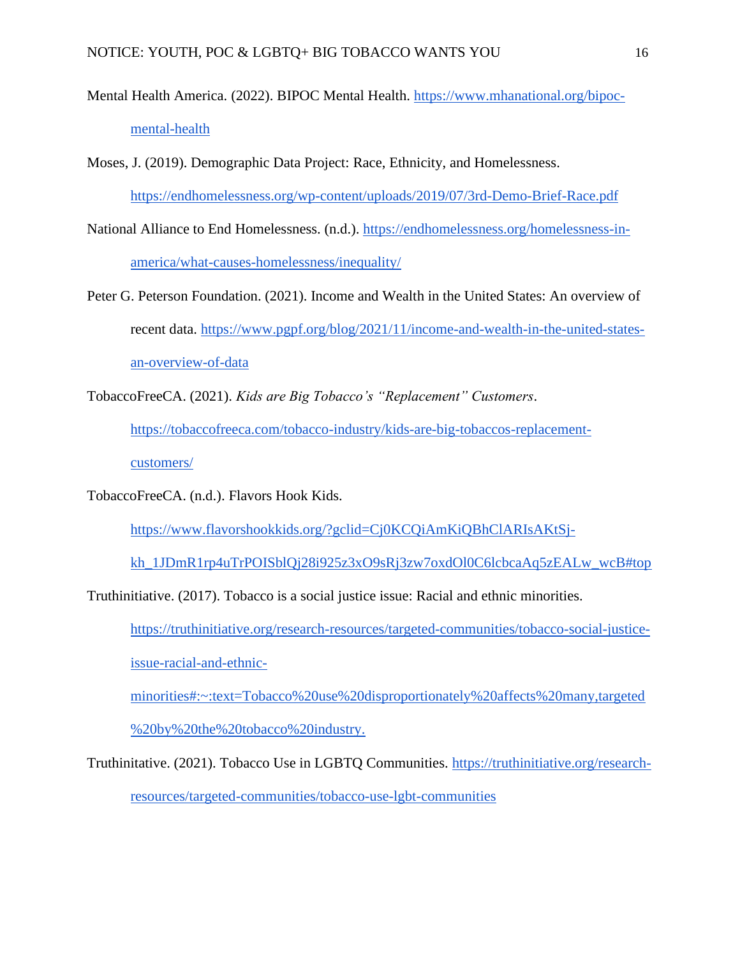- Mental Health America. (2022). BIPOC Mental Health. [https://www.mhanational.org/bipoc](https://www.mhanational.org/bipoc-mental-health)[mental-health](https://www.mhanational.org/bipoc-mental-health)
- Moses, J. (2019). Demographic Data Project: Race, Ethnicity, and Homelessness. <https://endhomelessness.org/wp-content/uploads/2019/07/3rd-Demo-Brief-Race.pdf>
- National Alliance to End Homelessness. (n.d.). [https://endhomelessness.org/homelessness-in](https://endhomelessness.org/homelessness-in-america/what-causes-homelessness/inequality/)[america/what-causes-homelessness/inequality/](https://endhomelessness.org/homelessness-in-america/what-causes-homelessness/inequality/)
- Peter G. Peterson Foundation. (2021). Income and Wealth in the United States: An overview of recent data. [https://www.pgpf.org/blog/2021/11/income-and-wealth-in-the-united-states](https://www.pgpf.org/blog/2021/11/income-and-wealth-in-the-united-states-an-overview-of-data)[an-overview-of-data](https://www.pgpf.org/blog/2021/11/income-and-wealth-in-the-united-states-an-overview-of-data)
- TobaccoFreeCA. (2021). *Kids are Big Tobacco's "Replacement" Customers*.

[https://tobaccofreeca.com/tobacco-industry/kids-are-big-tobaccos-replacement-](https://tobaccofreeca.com/tobacco-industry/kids-are-big-tobaccos-replacement-customers/)

[customers/](https://tobaccofreeca.com/tobacco-industry/kids-are-big-tobaccos-replacement-customers/)

TobaccoFreeCA. (n.d.). Flavors Hook Kids.

[https://www.flavorshookkids.org/?gclid=Cj0KCQiAmKiQBhClARIsAKtSj-](https://www.flavorshookkids.org/?gclid=Cj0KCQiAmKiQBhClARIsAKtSj-kh_1JDmR1rp4uTrPOISblQj28i925z3xO9sRj3zw7oxdOl0C6lcbcaAq5zEALw_wcB#top)

[kh\\_1JDmR1rp4uTrPOISblQj28i925z3xO9sRj3zw7oxdOl0C6lcbcaAq5zEALw\\_wcB#top](https://www.flavorshookkids.org/?gclid=Cj0KCQiAmKiQBhClARIsAKtSj-kh_1JDmR1rp4uTrPOISblQj28i925z3xO9sRj3zw7oxdOl0C6lcbcaAq5zEALw_wcB#top)

Truthinitiative. (2017). Tobacco is a social justice issue: Racial and ethnic minorities.

[https://truthinitiative.org/research-resources/targeted-communities/tobacco-social-justice-](https://truthinitiative.org/research-resources/targeted-communities/tobacco-social-justice-issue-racial-and-ethnic-minorities#:~:text=Tobacco%20use%20disproportionately%20affects%20many,targeted%20by%20the%20tobacco%20industry.)

[issue-racial-and-ethnic-](https://truthinitiative.org/research-resources/targeted-communities/tobacco-social-justice-issue-racial-and-ethnic-minorities#:~:text=Tobacco%20use%20disproportionately%20affects%20many,targeted%20by%20the%20tobacco%20industry.)

[minorities#:~:text=Tobacco%20use%20disproportionately%20affects%20many,targeted](https://truthinitiative.org/research-resources/targeted-communities/tobacco-social-justice-issue-racial-and-ethnic-minorities#:~:text=Tobacco%20use%20disproportionately%20affects%20many,targeted%20by%20the%20tobacco%20industry.) [%20by%20the%20tobacco%20industry.](https://truthinitiative.org/research-resources/targeted-communities/tobacco-social-justice-issue-racial-and-ethnic-minorities#:~:text=Tobacco%20use%20disproportionately%20affects%20many,targeted%20by%20the%20tobacco%20industry.)

Truthinitative. (2021). Tobacco Use in LGBTQ Communities. [https://truthinitiative.org/research](https://truthinitiative.org/research-resources/targeted-communities/tobacco-use-lgbt-communities)[resources/targeted-communities/tobacco-use-lgbt-communities](https://truthinitiative.org/research-resources/targeted-communities/tobacco-use-lgbt-communities)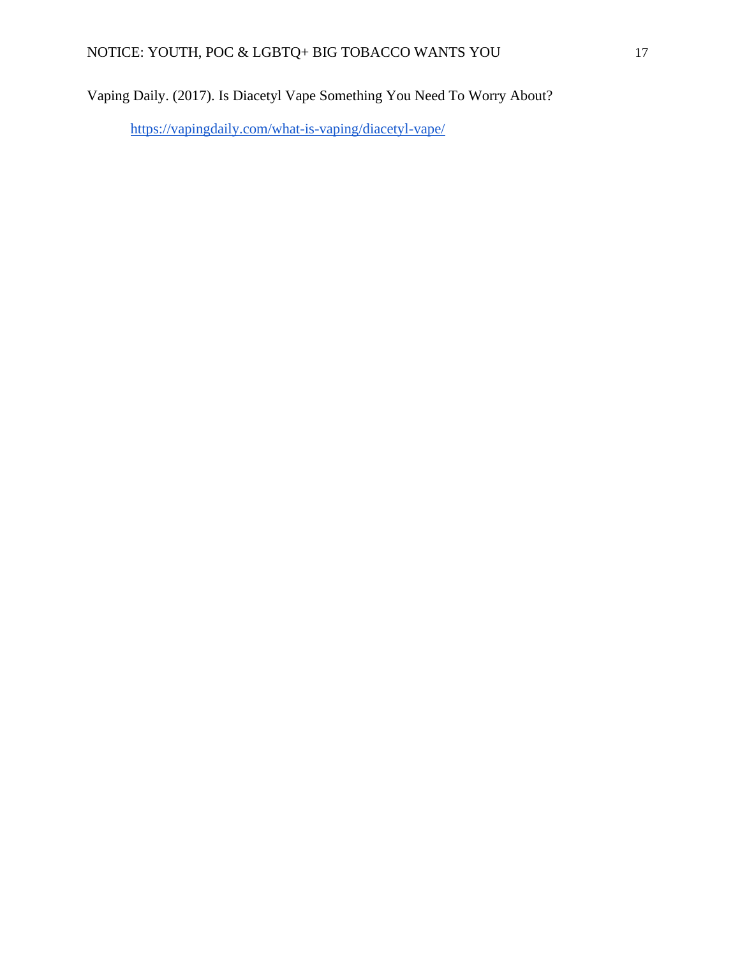Vaping Daily. (2017). Is Diacetyl Vape Something You Need To Worry About?

<https://vapingdaily.com/what-is-vaping/diacetyl-vape/>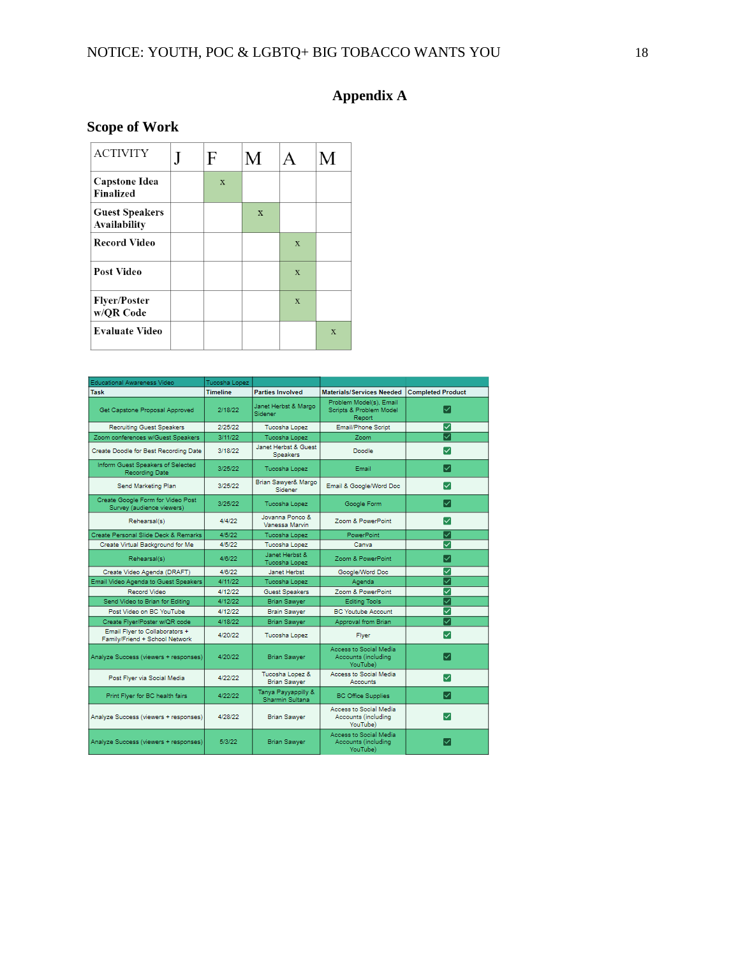# **Appendix A**

# **Scope of Work**

| <b>ACTIVITY</b>                       | F | M            |                | M            |
|---------------------------------------|---|--------------|----------------|--------------|
| Capstone Idea<br>Finalized            | X |              |                |              |
| <b>Guest Speakers</b><br>Availability |   | $\mathbf{x}$ |                |              |
| <b>Record Video</b>                   |   |              | $\mathbf x$    |              |
| Post Video                            |   |              | $\mathbf{x}$   |              |
| <b>Flyer/Poster</b><br>w/QR Code      |   |              | $\overline{X}$ |              |
| <b>Evaluate Video</b>                 |   |              |                | $\mathbf{X}$ |

| Educational Awareness Video                                      | Tucosha Lopez   |                                          |                                                                     |                          |
|------------------------------------------------------------------|-----------------|------------------------------------------|---------------------------------------------------------------------|--------------------------|
| Task                                                             | <b>Timeline</b> | <b>Parties Involved</b>                  | <b>Materials/Services Needed</b>                                    | <b>Completed Product</b> |
| Get Capstone Proposal Approved                                   | 2/18/22         | Janet Herbst & Margo<br>Sidener:         | Problem Model(s), Email<br>Scripts & Problem Model<br><b>Report</b> | ▽                        |
| <b>Recruiting Guest Speakers</b>                                 | 2/25/22         | Tucosha Lopez                            | Email/Phone Script                                                  | ▽                        |
| Zoom conferences w/Guest Speakers                                | 3/11/22         | Tucosha Lopez                            | Zoom                                                                | ▽                        |
| Create Doodle for Best Recording Date                            | 3/18/22         | Janet Herbst & Guest<br><b>Speakers</b>  | Doodle                                                              | ▽                        |
| Inform Guest Speakers of Selected<br>Recording Date              | 3/25/22         | Tucosha Lopez                            | Email                                                               | ☑                        |
| Send Marketing Plan                                              | 3/25/22         | Brian Sawyer& Margo<br>Sidener           | Email & Google/Word Doc                                             | ◡                        |
| Create Google Form for Video Post<br>Survey (audience viewers)   | 3/25/22         | Tucosha Lopez                            | Google Form                                                         | $\sim$                   |
| Rehearsal(s)                                                     | 4/4/22          | Jovanna Ponco &<br><b>Vanessa Marvin</b> | Zoom & PowerPoint                                                   | ✓                        |
| Create Personal Slide Deck & Remarks                             | 4/5/22          | Tucosha Lopez                            | PowerPoint                                                          | ▽                        |
| Create Virtual Background for Me                                 | 4/5/22          | Tucosha Lopez                            | Canva                                                               | ▽                        |
| Rehearsal(s)                                                     | 4/8/22          | Janet Herbst &<br>Tucosha Lopez          | Zoom & PowerPoint                                                   | ▽                        |
| Create Video Agenda (DRAFT)                                      | 4/8/22          | Janet Herbst                             | Google/Word Doc                                                     | ▽                        |
| Email Video Agenda to Guest Speakers                             | 4/11/22         | Tucosha Lopez                            | Agenda                                                              | ▽                        |
| Record Video                                                     | 4/12/22         | <b>Guest Speakers</b>                    | Zoom & PowerPoint                                                   | ▽                        |
| Send Video to Brian for Editing                                  | 4/12/22         | <b>Brian Sawyer</b>                      | <b>Editing Tools</b>                                                | ▽                        |
| Post Video on BC YouTube                                         | 4/12/22         | <b>Brain Sawver</b>                      | <b>BC Youtube Account</b>                                           | ▽                        |
| Create Flyer/Poster w/QR code                                    | 4/18/22         | <b>Brian Sawyer</b>                      | Approval from Brian                                                 | ▽                        |
| Email Flyer to Collaborators +<br>Family/Friend + School Network | 4/20/22         | Tucosha Lopez                            | <b>Fiver</b>                                                        | ✓                        |
| Analyze Success (viewers + responses)                            | 4/20/22         | <b>Brian Sawyer</b>                      | <b>Access to Social Media</b><br>Accounts (including<br>YouTube)    | ☞                        |
| Post Flyer via Social Media                                      | 4/22/22         | Tucosha Lopez &<br><b>Brian Sawver</b>   | Access to Social Media<br>Accounts                                  | ▽                        |
| Print Flyer for BC health fairs                                  | 4/22/22         | Tanya Payyappilly &<br>Sharmin Sultana   | <b>BC Office Supplies</b>                                           | M                        |
| Analyze Success (viewers + responses)                            | 4/28/22         | <b>Brian Sawyer</b>                      | Access to Social Media<br>Accounts (including<br>YouTube)           | ◡                        |
| Analyze Success (viewers + responses)                            | 5/3/22          | <b>Brian Sawyer</b>                      | <b>Access to Social Media</b><br>Accounts (including<br>YouTube)    | ✓                        |